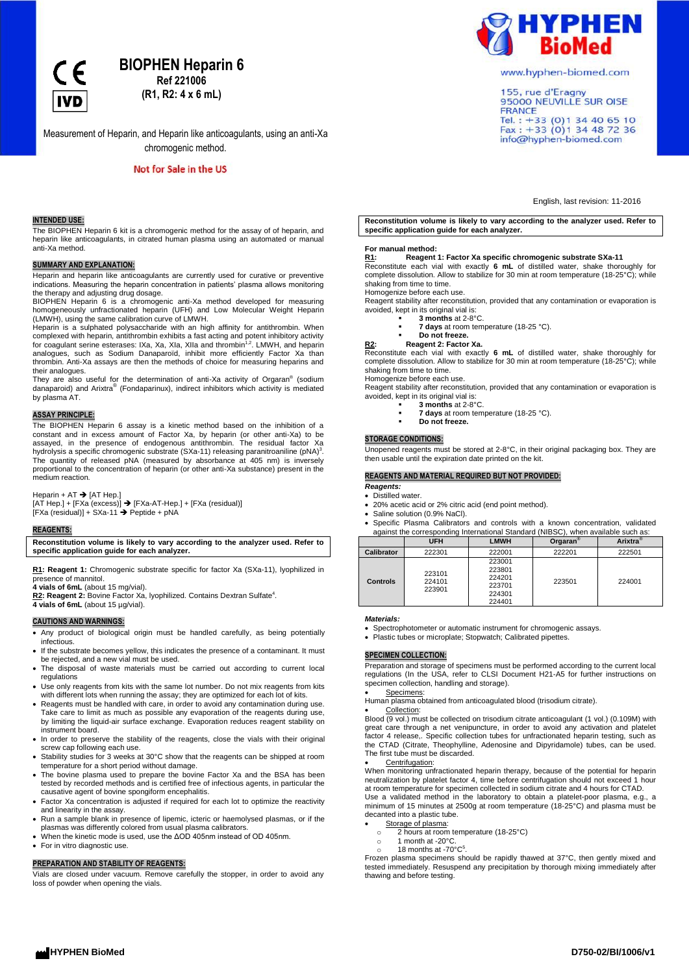**IVD** 

# **BIOPHEN Heparin 6**

**Ref 221006 (R1, R2: 4 x 6 mL)**

Measurement of Heparin, and Heparin like anticoagulants, using an anti-Xa chromogenic method.

Not for Sale in the US

# **INTENDED USE:**

The BIOPHEN Heparin 6 kit is a chromogenic method for the assay of of heparin, and heparin like anticoagulants, in citrated human plasma using an automated or manual anti-Xa method.

# **SUMMARY AND EXPLANATION:**

Heparin and heparin like anticoagulants are currently used for curative or preventive indications. Measuring the heparin concentration in patients' plasma allows monitoring the therapy and adjusting drug dosage. BIOPHEN Heparin 6 is a chromogenic anti-Xa method developed for measuring

homogeneously unfractionated heparin (UFH) and Low Molecular Weight Heparin (LMWH), using the same calibration curve of LMWH.

Heparin is a sulphated polysaccharide with an high affinity for antithrombin. When complexed with heparin, antithrombin exhibits a fast acting and potent inhibitory activity<br>for coagulant serine esterases: IXa, Xa, XIa, XIIa and thrombin<sup>1,2</sup>. LMWH, and heparin<br>analogues, such as Sodium Danaparoïd, inhib thrombin. Anti-Xa assays are then the methods of choice for measuring heparins and their analogues.

They are also useful for the determination of anti-Xa activity of Orgaran® (sodium<br>danaparoid) and Arixtra® (Fondaparinux), indirect inhibitors which activity is mediated by plasma AT.

#### **ASSAY PRINCIPLE:**

The BIOPHEN Heparin 6 assay is a kinetic method based on the inhibition of a constant and in excess amount of Factor Xa, by heparin (or other anti-Xa) to be<br>assayed, in the presence of endogenous antithrombin. The residual factor Xa<br>hydrolysis a specific chromogenic substrate (SXa-11) releasing par The quantity of released pNA (measured by absorbance at 405 nm) is inversely proportional to the concentration of heparin (or other anti-Xa substance) present in the medium reaction.

Heparin + AT  $\rightarrow$  [AT Hep.]

 $[AT Hep.]+ [FAa (excess)] \rightarrow [FXa-AT-Hep.]+ [FXa (residual)]$  $[FXa (residual)] + SXa-11 \rightarrow Peptide + pNA$ 

#### **REAGENTS:**

**Reconstitution volume is likely to vary according to the analyzer used. Refer to specific application guide for each analyzer.**

**R1: Reagent 1:** Chromogenic substrate specific for factor Xa (SXa-11), lyophilized in presence of mannitol. **4 vials of 6mL** (about 15 mg/vial).

**R2: Reagent 2:** Bovine Factor Xa, lyophilized. Contains Dextran Sulfate<sup>4</sup> . **4 vials of 6mL** (about 15 µg/vial).

**CAUTIONS AND WARNINGS:**

- Any product of biological origin must be handled carefully, as being potentially infectious.
- If the substrate becomes yellow, this indicates the presence of a contaminant. It must be rejected, and a new vial must be used.
- The disposal of waste materials must be carried out according to current local regulations
- Use only reagents from kits with the same lot number. Do not mix reagents from kits with different lots when running the assay; they are optimized for each lot of kits.
- Reagents must be handled with care, in order to avoid any contamination during use. Take care to limit as much as possible any evaporation of the reagents during use, by limiting the liquid-air surface exchange. Evaporation reduces reagent stability on instrument board.
- In order to preserve the stability of the reagents, close the vials with their original screw cap following each use.
- Stability studies for 3 weeks at 30°C show that the reagents can be shipped at room temperature for a short period without damage.
- The bovine plasma used to prepare the bovine Factor Xa and the BSA has been tested by recorded methods and is certified free of infectious agents, in particular the causative agent of bovine spongiform encephalitis.
- Factor Xa concentration is adjusted if required for each lot to optimize the reactivity
- and linearity in the assay. Run a sample blank in presence of lipemic, icteric or haemolysed plasmas, or if the plasmas was differently colored from usual plasma calibrators.
- When the kinetic mode is used, use the ΔOD 405nm instead of OD 405nm.
- **•** For in vitro diagnostic use.

#### **PREPARATION AND STABILITY OF REAGENTS:**

Vials are closed under vacuum. Remove carefully the stopper, in order to avoid any loss of powder when opening the vials.



www.hyphen-biomed.com

155, rue d'Eragny<br>95000 NEUVILLE SUR OISE **FRANCE** Tel.: +33 (0) 1 34 40 65 10<br>Fax: +33 (0) 1 34 48 72 36 info@hyphen-biomed.com

English, last revision: 11-2016

**Reconstitution volume is likely to vary according to the analyzer used. Refer to specific application guide for each analyzer.**

#### **For manual method:**

# **R1: Reagent 1: Factor Xa specific chromogenic substrate SXa-11**

Reconstitute each vial with exactly **6 mL** of distilled water, shake thoroughly for complete dissolution. Allow to stabilize for 30 min at room temperature (18-25°C); while shaking from time to time.

Homogenize before each use. Reagent stability after reconstitution, provided that any contamination or evaporation is avoided, kept in its original vial is:

- **3 months** at 2-8°C.
	- **7 days** at room temperature (18-25 °C).
	- **Do not freeze.**
- **R2: Reagent 2: Factor Xa.**

Reconstitute each vial with exactly **6 mL** of distilled water, shake thoroughly for complete dissolution. Allow to stabilize for 30 min at room temperature (18-25°C); while shaking from time to time.

Homogenize before each use.

Reagent stability after reconstitution, provided that any contamination or evaporation is avoided, kept in its original vial is: **3 months** at 2-8°C.

- **7 days** at room temperature (18-25 °C).
- **Do not freeze.**

#### **STORAGE CONDITIONS:**

Unopened reagents must be stored at 2-8°C, in their original packaging box. They are then usable until the expiration date printed on the kit.

# **REAGENTS AND MATERIAL REQUIRED BUT NOT PROVIDED:**

*Reagents:*

- Distilled water. 20% acetic acid or 2% citric acid (end point method).
- Saline solution (0.9% NaCl).

Specific Plasma Calibrators and controls with a known concentration, validated against the corresponding International Standard (NIBSC), when available such as:

|                   | <b>UFH</b>                 | <b>LMWH</b>                                              | Orgaran <sup>®</sup> | Arixtra <sup>®</sup> |
|-------------------|----------------------------|----------------------------------------------------------|----------------------|----------------------|
| <b>Calibrator</b> | 222301                     | 222001                                                   | 222201               | 222501               |
| <b>Controls</b>   | 223101<br>224101<br>223901 | 223001<br>223801<br>224201<br>223701<br>224301<br>224401 | 223501               | 224001               |

# *Materials:*

Spectrophotometer or automatic instrument for chromogenic assays.

• Plastic tubes or microplate; Stopwatch; Calibrated pipettes.

#### **SPECIMEN COLLECTION:**

Preparation and storage of specimens must be performed according to the current local regulations (In the USA, refer to CLSI Document H21-A5 for further instructions on specimen collection, handling and storage).

Specimens:

Human plasma obtained from anticoagulated blood (trisodium citrate).

 Collection: Blood (9 vol.) must be collected on trisodium citrate anticoagulant (1 vol.) (0.109M) with great care through a net venipuncture, in order to avoid any activation and platelet factor 4 release,. Specific collection tubes for unfractionated heparin testing, such as the CTAD (Citrate, Theophylline, Adenosine and Dipyridamole) tubes, can be used. The first tube must be discarded.

Centrifugation:

When monitoring unfractionated heparin therapy, because of the potential for heparin neutralization by platelet factor 4, time before centrifugation should not exceed 1 hour at room temperature for specimen collected in sodium citrate and 4 hours for CTAD.

Use a validated method in the laboratory to obtain a platelet-poor plasma, e.g., a minimum of 15 minutes at 2500g at room temperature (18-25°C) and plasma must be decanted into a plastic tube.

Storage of plasma:

- o 2 hours at room temperature (18-25°C)
- o 1 month at -20°C.
- 18 months at -70 $^{\circ}$ C<sup>5</sup>

. Frozen plasma specimens should be rapidly thawed at 37°C, then gently mixed and tested immediately. Resuspend any precipitation by thorough mixing immediately after thawing and before testing.